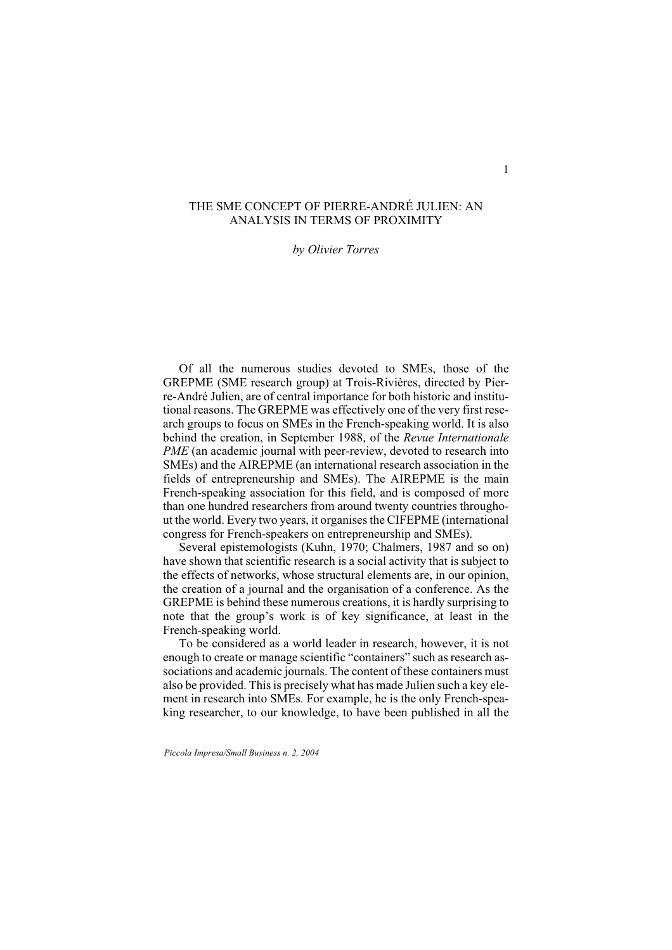## THE SME CONCEPT OF PIERRE-ANDRÉ JULIEN: AN ANALYSIS IN TERMS OF PROXIMITY

#### *by Olivier Torres*

Of all the numerous studies devoted to SMEs, those of the GREPME (SME research group) at Trois-Rivières, directed by Pierre-André Julien, are of central importance for both historic and institutional reasons. The GREPME was effectively one of the very first research groups to focus on SMEs in the French-speaking world. It is also behind the creation, in September 1988, of the *Revue Internationale PME* (an academic journal with peer-review, devoted to research into SMEs) and the AIREPME (an international research association in the fields of entrepreneurship and SMEs). The AIREPME is the main French-speaking association for this field, and is composed of more than one hundred researchers from around twenty countries throughout the world. Every two years, it organises the CIFEPME (international congress for French-speakers on entrepreneurship and SMEs).

Several epistemologists (Kuhn, 1970; Chalmers, 1987 and so on) have shown that scientific research is a social activity that is subject to the effects of networks, whose structural elements are, in our opinion, the creation of a journal and the organisation of a conference. As the GREPME is behind these numerous creations, it is hardly surprising to note that the group's work is of key significance, at least in the French-speaking world.

To be considered as a world leader in research, however, it is not enough to create or manage scientific "containers" such as research associations and academic journals. The content of these containers must also be provided. This is precisely what has made Julien such a key element in research into SMEs. For example, he is the only French-speaking researcher, to our knowledge, to have been published in all the

*Piccola Impresa/Small Business n. 2, 2004*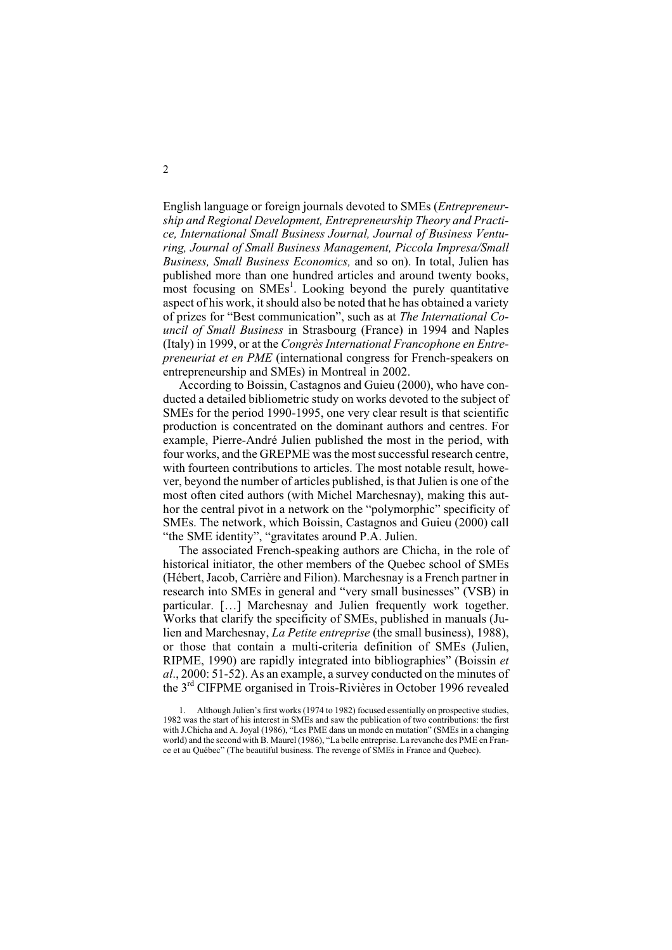English language or foreign journals devoted to SMEs (*Entrepreneurship and Regional Development, Entrepreneurship Theory and Practice, International Small Business Journal, Journal of Business Venturing, Journal of Small Business Management, Piccola Impresa/Small Business, Small Business Economics,* and so on). In total, Julien has published more than one hundred articles and around twenty books, most focusing on SMEs<sup>1</sup>. Looking beyond the purely quantitative aspect of his work, it should also be noted that he has obtained a variety of prizes for "Best communication", such as at *The International Council of Small Business* in Strasbourg (France) in 1994 and Naples (Italy) in 1999, or at the *Congrès International Francophone en Entrepreneuriat et en PME* (international congress for French-speakers on entrepreneurship and SMEs) in Montreal in 2002.

According to Boissin, Castagnos and Guieu (2000), who have conducted a detailed bibliometric study on works devoted to the subject of SMEs for the period 1990-1995, one very clear result is that scientific production is concentrated on the dominant authors and centres. For example, Pierre-André Julien published the most in the period, with four works, and the GREPME was the most successful research centre, with fourteen contributions to articles. The most notable result, however, beyond the number of articles published, is that Julien is one of the most often cited authors (with Michel Marchesnay), making this author the central pivot in a network on the "polymorphic" specificity of SMEs. The network, which Boissin, Castagnos and Guieu (2000) call "the SME identity", "gravitates around P.A. Julien.

The associated French-speaking authors are Chicha, in the role of historical initiator, the other members of the Quebec school of SMEs (Hébert, Jacob, Carrière and Filion). Marchesnay is a French partner in research into SMEs in general and "very small businesses" (VSB) in particular. […] Marchesnay and Julien frequently work together. Works that clarify the specificity of SMEs, published in manuals (Julien and Marchesnay, *La Petite entreprise* (the small business), 1988), or those that contain a multi-criteria definition of SMEs (Julien, RIPME, 1990) are rapidly integrated into bibliographies" (Boissin *et al*., 2000: 51-52). As an example, a survey conducted on the minutes of the 3rd CIFPME organised in Trois-Rivières in October 1996 revealed

2

<sup>1.</sup> Although Julien's first works (1974 to 1982) focused essentially on prospective studies, 1982 was the start of his interest in SMEs and saw the publication of two contributions: the first with J.Chicha and A. Joyal (1986), "Les PME dans un monde en mutation" (SMEs in a changing world) and the second with B. Maurel (1986), "La belle entreprise. La revanche des PME en France et au Québec" (The beautiful business. The revenge of SMEs in France and Quebec).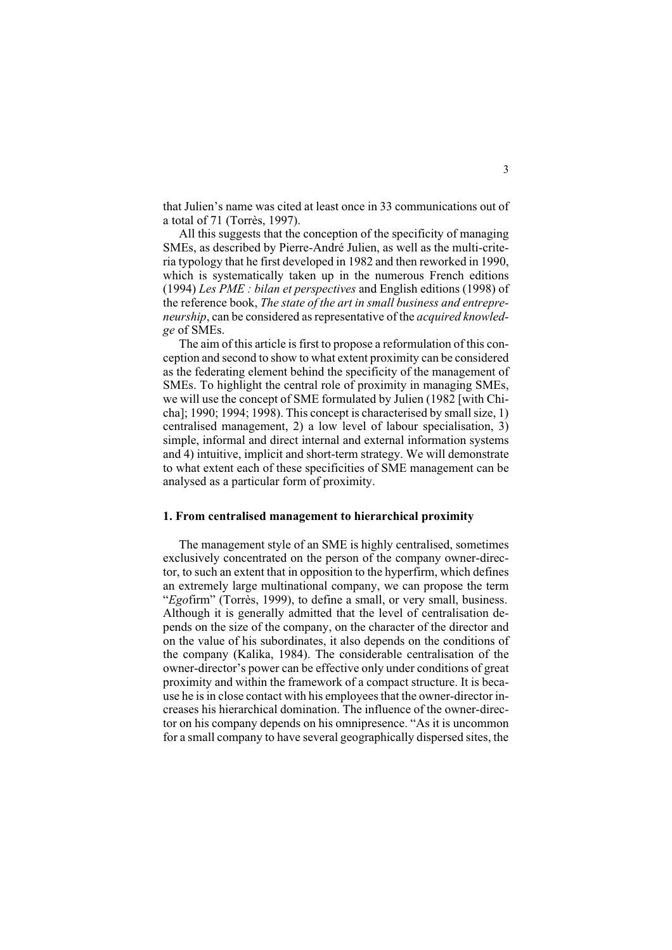that Julien's name was cited at least once in 33 communications out of a total of 71 (Torrès, 1997).

All this suggests that the conception of the specificity of managing SMEs, as described by Pierre-André Julien, as well as the multi-criteria typology that he first developed in 1982 and then reworked in 1990, which is systematically taken up in the numerous French editions (1994) *Les PME : bilan et perspectives* and English editions (1998) of the reference book, *The state of the art in small business and entrepreneurship*, can be considered as representative of the *acquired knowledge* of SMEs.

The aim of this article is first to propose a reformulation of this conception and second to show to what extent proximity can be considered as the federating element behind the specificity of the management of SMEs. To highlight the central role of proximity in managing SMEs, we will use the concept of SME formulated by Julien (1982 [with Chicha]; 1990; 1994; 1998). This concept is characterised by small size, 1) centralised management, 2) a low level of labour specialisation, 3) simple, informal and direct internal and external information systems and 4) intuitive, implicit and short-term strategy. We will demonstrate to what extent each of these specificities of SME management can be analysed as a particular form of proximity.

### **1. From centralised management to hierarchical proximity**

The management style of an SME is highly centralised, sometimes exclusively concentrated on the person of the company owner-director, to such an extent that in opposition to the hyperfirm, which defines an extremely large multinational company, we can propose the term "*Ego*firm" (Torrès, 1999), to define a small, or very small, business. Although it is generally admitted that the level of centralisation depends on the size of the company, on the character of the director and on the value of his subordinates, it also depends on the conditions of the company (Kalika, 1984). The considerable centralisation of the owner-director's power can be effective only under conditions of great proximity and within the framework of a compact structure. It is because he is in close contact with his employees that the owner-director increases his hierarchical domination. The influence of the owner-director on his company depends on his omnipresence. "As it is uncommon for a small company to have several geographically dispersed sites, the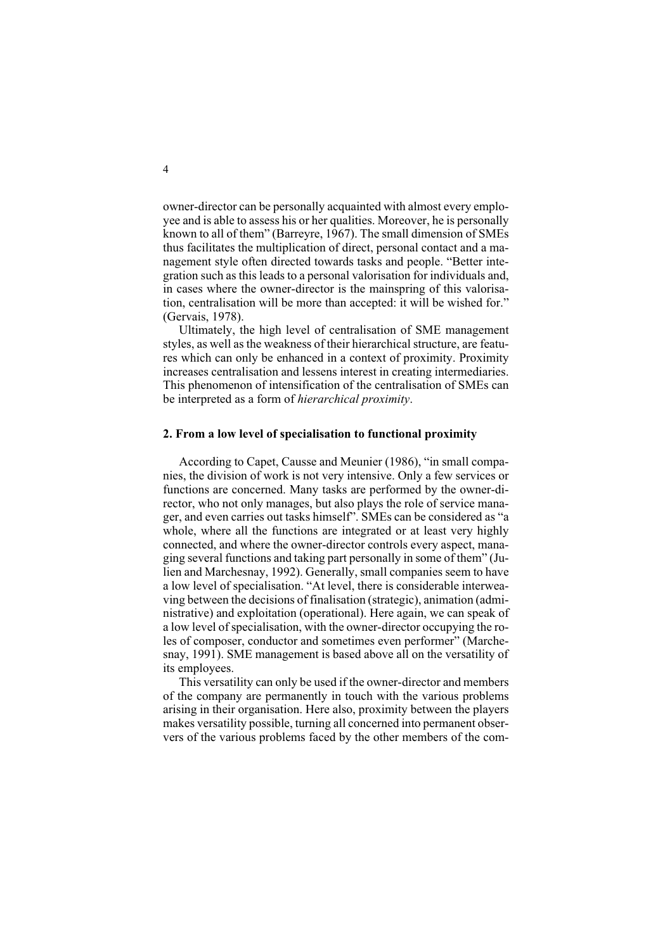owner-director can be personally acquainted with almost every employee and is able to assess his or her qualities. Moreover, he is personally known to all of them" (Barreyre, 1967). The small dimension of SMEs thus facilitates the multiplication of direct, personal contact and a management style often directed towards tasks and people. "Better integration such as this leads to a personal valorisation for individuals and, in cases where the owner-director is the mainspring of this valorisation, centralisation will be more than accepted: it will be wished for." (Gervais, 1978).

Ultimately, the high level of centralisation of SME management styles, as well as the weakness of their hierarchical structure, are features which can only be enhanced in a context of proximity. Proximity increases centralisation and lessens interest in creating intermediaries. This phenomenon of intensification of the centralisation of SMEs can be interpreted as a form of *hierarchical proximity*.

### **2. From a low level of specialisation to functional proximity**

According to Capet, Causse and Meunier (1986), "in small companies, the division of work is not very intensive. Only a few services or functions are concerned. Many tasks are performed by the owner-director, who not only manages, but also plays the role of service manager, and even carries out tasks himself". SMEs can be considered as "a whole, where all the functions are integrated or at least very highly connected, and where the owner-director controls every aspect, managing several functions and taking part personally in some of them" (Julien and Marchesnay, 1992). Generally, small companies seem to have a low level of specialisation. "At level, there is considerable interweaving between the decisions of finalisation (strategic), animation (administrative) and exploitation (operational). Here again, we can speak of a low level of specialisation, with the owner-director occupying the roles of composer, conductor and sometimes even performer" (Marchesnay, 1991). SME management is based above all on the versatility of its employees.

This versatility can only be used if the owner-director and members of the company are permanently in touch with the various problems arising in their organisation. Here also, proximity between the players makes versatility possible, turning all concerned into permanent observers of the various problems faced by the other members of the com-

4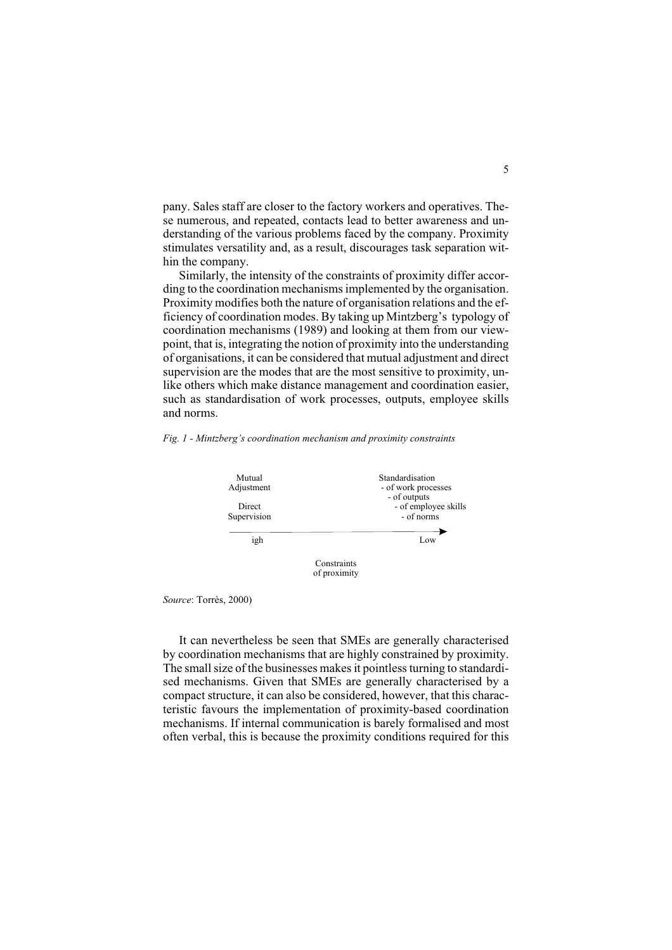pany. Sales staff are closer to the factory workers and operatives. These numerous, and repeated, contacts lead to better awareness and understanding of the various problems faced by the company. Proximity stimulates versatility and, as a result, discourages task separation within the company.

Similarly, the intensity of the constraints of proximity differ according to the coordination mechanisms implemented by the organisation. Proximity modifies both the nature of organisation relations and the efficiency of coordination modes. By taking up Mintzberg's typology of coordination mechanisms (1989) and looking at them from our viewpoint, that is, integrating the notion of proximity into the understanding of organisations, it can be considered that mutual adjustment and direct supervision are the modes that are the most sensitive to proximity, unlike others which make distance management and coordination easier, such as standardisation of work processes, outputs, employee skills and norms.

*Fig. 1 - Mintzberg's coordination mechanism and proximity constraints*



*Source*: Torrès, 2000)

It can nevertheless be seen that SMEs are generally characterised by coordination mechanisms that are highly constrained by proximity. The small size of the businesses makes it pointless turning to standardised mechanisms. Given that SMEs are generally characterised by a compact structure, it can also be considered, however, that this characteristic favours the implementation of proximity-based coordination mechanisms. If internal communication is barely formalised and most often verbal, this is because the proximity conditions required for this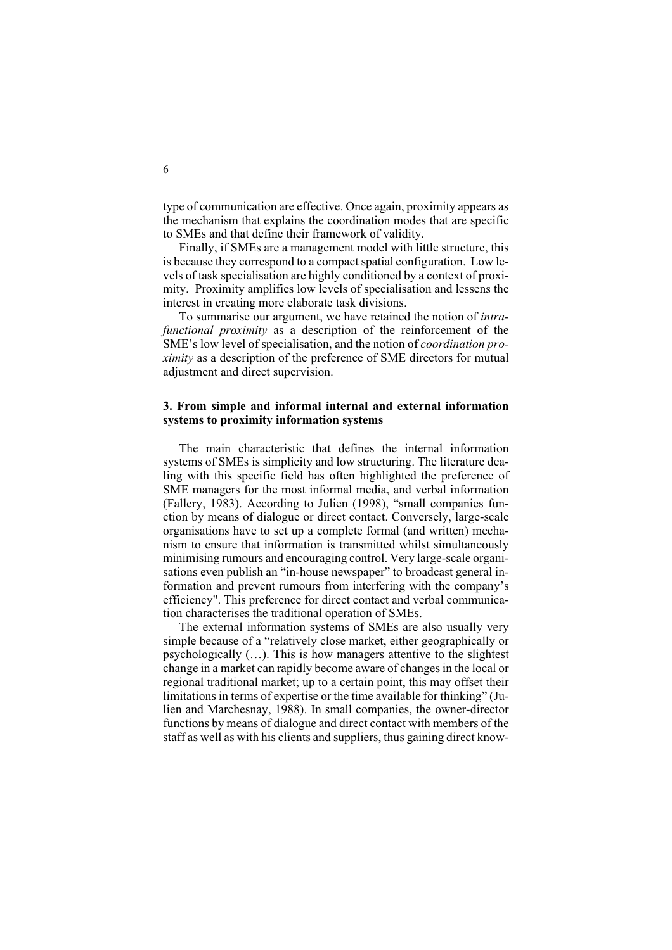type of communication are effective. Once again, proximity appears as the mechanism that explains the coordination modes that are specific to SMEs and that define their framework of validity.

Finally, if SMEs are a management model with little structure, this is because they correspond to a compact spatial configuration. Low levels of task specialisation are highly conditioned by a context of proximity. Proximity amplifies low levels of specialisation and lessens the interest in creating more elaborate task divisions.

To summarise our argument, we have retained the notion of *intrafunctional proximity* as a description of the reinforcement of the SME's low level of specialisation, and the notion of *coordination proximity* as a description of the preference of SME directors for mutual adjustment and direct supervision.

## **3. From simple and informal internal and external information systems to proximity information systems**

The main characteristic that defines the internal information systems of SMEs is simplicity and low structuring. The literature dealing with this specific field has often highlighted the preference of SME managers for the most informal media, and verbal information (Fallery, 1983). According to Julien (1998), "small companies function by means of dialogue or direct contact. Conversely, large-scale organisations have to set up a complete formal (and written) mechanism to ensure that information is transmitted whilst simultaneously minimising rumours and encouraging control. Very large-scale organisations even publish an "in-house newspaper" to broadcast general information and prevent rumours from interfering with the company's efficiency". This preference for direct contact and verbal communication characterises the traditional operation of SMEs.

The external information systems of SMEs are also usually very simple because of a "relatively close market, either geographically or psychologically (…). This is how managers attentive to the slightest change in a market can rapidly become aware of changes in the local or regional traditional market; up to a certain point, this may offset their limitations in terms of expertise or the time available for thinking" (Julien and Marchesnay, 1988). In small companies, the owner-director functions by means of dialogue and direct contact with members of the staff as well as with his clients and suppliers, thus gaining direct know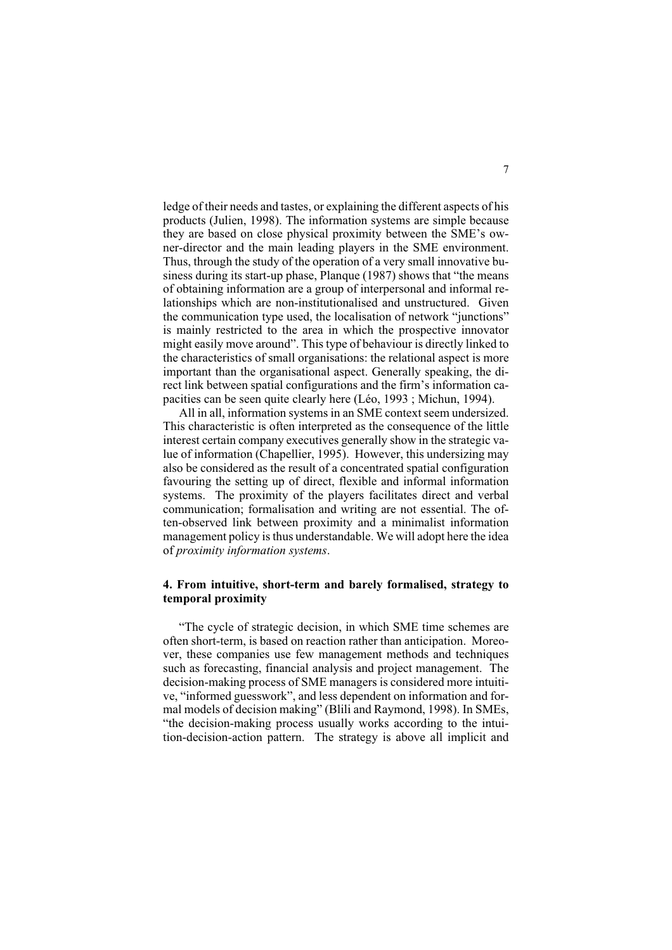ledge of their needs and tastes, or explaining the different aspects of his products (Julien, 1998). The information systems are simple because they are based on close physical proximity between the SME's owner-director and the main leading players in the SME environment. Thus, through the study of the operation of a very small innovative business during its start-up phase, Planque (1987) shows that "the means of obtaining information are a group of interpersonal and informal relationships which are non-institutionalised and unstructured. Given the communication type used, the localisation of network "junctions" is mainly restricted to the area in which the prospective innovator might easily move around". This type of behaviour is directly linked to the characteristics of small organisations: the relational aspect is more important than the organisational aspect. Generally speaking, the direct link between spatial configurations and the firm's information capacities can be seen quite clearly here (Léo, 1993 ; Michun, 1994).

All in all, information systems in an SME context seem undersized. This characteristic is often interpreted as the consequence of the little interest certain company executives generally show in the strategic value of information (Chapellier, 1995). However, this undersizing may also be considered as the result of a concentrated spatial configuration favouring the setting up of direct, flexible and informal information systems. The proximity of the players facilitates direct and verbal communication; formalisation and writing are not essential. The often-observed link between proximity and a minimalist information management policy is thus understandable. We will adopt here the idea of *proximity information systems*.

## **4. From intuitive, short-term and barely formalised, strategy to temporal proximity**

"The cycle of strategic decision, in which SME time schemes are often short-term, is based on reaction rather than anticipation. Moreover, these companies use few management methods and techniques such as forecasting, financial analysis and project management. The decision-making process of SME managers is considered more intuitive, "informed guesswork", and less dependent on information and formal models of decision making" (Blili and Raymond, 1998). In SMEs, "the decision-making process usually works according to the intuition-decision-action pattern. The strategy is above all implicit and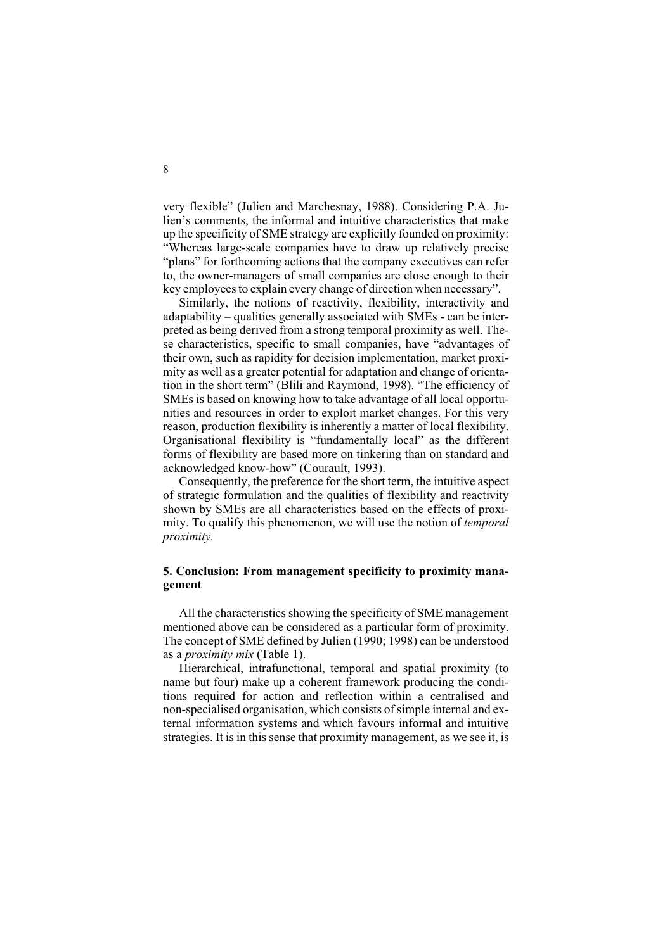very flexible" (Julien and Marchesnay, 1988). Considering P.A. Julien's comments, the informal and intuitive characteristics that make up the specificity of SME strategy are explicitly founded on proximity: "Whereas large-scale companies have to draw up relatively precise "plans" for forthcoming actions that the company executives can refer to, the owner-managers of small companies are close enough to their key employees to explain every change of direction when necessary".

Similarly, the notions of reactivity, flexibility, interactivity and adaptability – qualities generally associated with SMEs - can be interpreted as being derived from a strong temporal proximity as well. These characteristics, specific to small companies, have "advantages of their own, such as rapidity for decision implementation, market proximity as well as a greater potential for adaptation and change of orientation in the short term" (Blili and Raymond, 1998). "The efficiency of SMEs is based on knowing how to take advantage of all local opportunities and resources in order to exploit market changes. For this very reason, production flexibility is inherently a matter of local flexibility. Organisational flexibility is "fundamentally local" as the different forms of flexibility are based more on tinkering than on standard and acknowledged know-how" (Courault, 1993).

Consequently, the preference for the short term, the intuitive aspect of strategic formulation and the qualities of flexibility and reactivity shown by SMEs are all characteristics based on the effects of proximity. To qualify this phenomenon, we will use the notion of *temporal proximity.*

# **5. Conclusion: From management specificity to proximity management**

All the characteristics showing the specificity of SME management mentioned above can be considered as a particular form of proximity. The concept of SME defined by Julien (1990; 1998) can be understood as a *proximity mix* (Table 1).

Hierarchical, intrafunctional, temporal and spatial proximity (to name but four) make up a coherent framework producing the conditions required for action and reflection within a centralised and non-specialised organisation, which consists of simple internal and external information systems and which favours informal and intuitive strategies. It is in this sense that proximity management, as we see it, is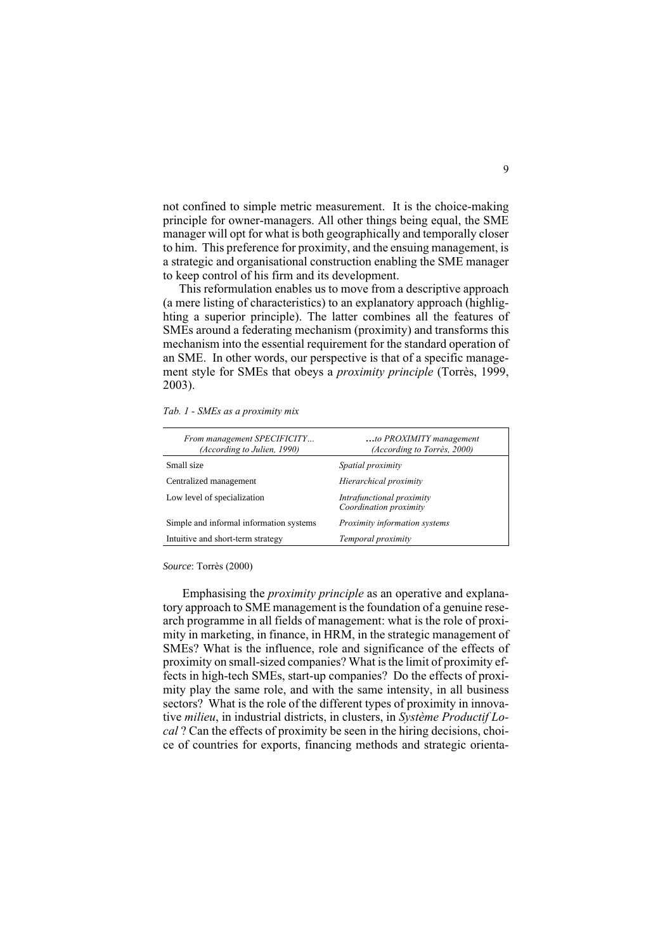not confined to simple metric measurement. It is the choice-making principle for owner-managers. All other things being equal, the SME manager will opt for what is both geographically and temporally closer to him. This preference for proximity, and the ensuing management, is a strategic and organisational construction enabling the SME manager to keep control of his firm and its development.

This reformulation enables us to move from a descriptive approach (a mere listing of characteristics) to an explanatory approach (highlighting a superior principle). The latter combines all the features of SMEs around a federating mechanism (proximity) and transforms this mechanism into the essential requirement for the standard operation of an SME. In other words, our perspective is that of a specific management style for SMEs that obeys a *proximity principle* (Torrès, 1999, 2003).

|  |  |  |  |  | Tab. 1 - SMEs as a proximity mix |  |
|--|--|--|--|--|----------------------------------|--|
|--|--|--|--|--|----------------------------------|--|

| to PROXIMITY management<br>(According to Torrès, 2000) |  |  |
|--------------------------------------------------------|--|--|
| Spatial proximity                                      |  |  |
| Hierarchical proximity                                 |  |  |
| Intrafunctional proximity<br>Coordination proximity    |  |  |
| Proximity information systems                          |  |  |
| Temporal proximity                                     |  |  |
|                                                        |  |  |

*Source*: Torrès (2000)

Emphasising the *proximity principle* as an operative and explanatory approach to SME management is the foundation of a genuine research programme in all fields of management: what is the role of proximity in marketing, in finance, in HRM, in the strategic management of SMEs? What is the influence, role and significance of the effects of proximity on small-sized companies? What is the limit of proximity effects in high-tech SMEs, start-up companies? Do the effects of proximity play the same role, and with the same intensity, in all business sectors? What is the role of the different types of proximity in innovative *milieu*, in industrial districts, in clusters, in *Système Productif Local* ? Can the effects of proximity be seen in the hiring decisions, choice of countries for exports, financing methods and strategic orienta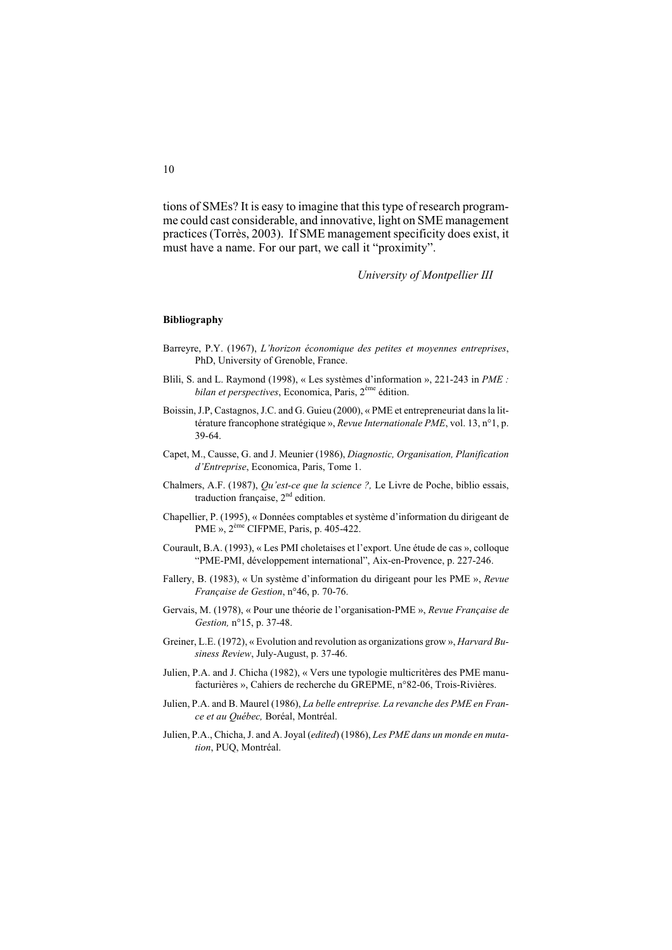tions of SMEs? It is easy to imagine that this type of research programme could cast considerable, and innovative, light on SME management practices (Torrès, 2003). If SME management specificity does exist, it must have a name. For our part, we call it "proximity".

*University of Montpellier III*

#### **Bibliography**

- Barreyre, P.Y. (1967), *L'horizon économique des petites et moyennes entreprises*, PhD, University of Grenoble, France.
- Blili, S. and L. Raymond (1998), « Les systèmes d'information », 221-243 in *PME : bilan et perspectives*, Economica, Paris, 2ème édition.
- Boissin, J.P, Castagnos, J.C. and G. Guieu (2000), « PME et entrepreneuriat dans la littérature francophone stratégique », *Revue Internationale PME*, vol. 13, n°1, p. 39-64.
- Capet, M., Causse, G. and J. Meunier (1986), *Diagnostic, Organisation, Planification d'Entreprise*, Economica, Paris, Tome 1.
- Chalmers, A.F. (1987), *Qu'est-ce que la science ?,* Le Livre de Poche, biblio essais, traduction française,  $2<sup>nd</sup>$  edition.
- Chapellier, P. (1995), « Données comptables et système d'information du dirigeant de PME », 2ème CIFPME, Paris, p. 405-422.
- Courault, B.A. (1993), « Les PMI choletaises et l'export. Une étude de cas », colloque "PME-PMI, développement international", Aix-en-Provence, p. 227-246.
- Fallery, B. (1983), « Un système d'information du dirigeant pour les PME », *Revue Française de Gestion*, n°46, p. 70-76.
- Gervais, M. (1978), « Pour une théorie de l'organisation-PME », *Revue Française de Gestion,* n°15, p. 37-48.
- Greiner, L.E. (1972), « Evolution and revolution as organizations grow », *Harvard Business Review*, July-August, p. 37-46.
- Julien, P.A. and J. Chicha (1982), « Vers une typologie multicritères des PME manufacturières », Cahiers de recherche du GREPME, n°82-06, Trois-Rivières.
- Julien, P.A. and B. Maurel (1986), *La belle entreprise. La revanche des PME en France et au Québec,* Boréal, Montréal.
- Julien, P.A., Chicha, J. and A. Joyal (*edited*) (1986), *Les PME dans un monde en mutation*, PUQ, Montréal.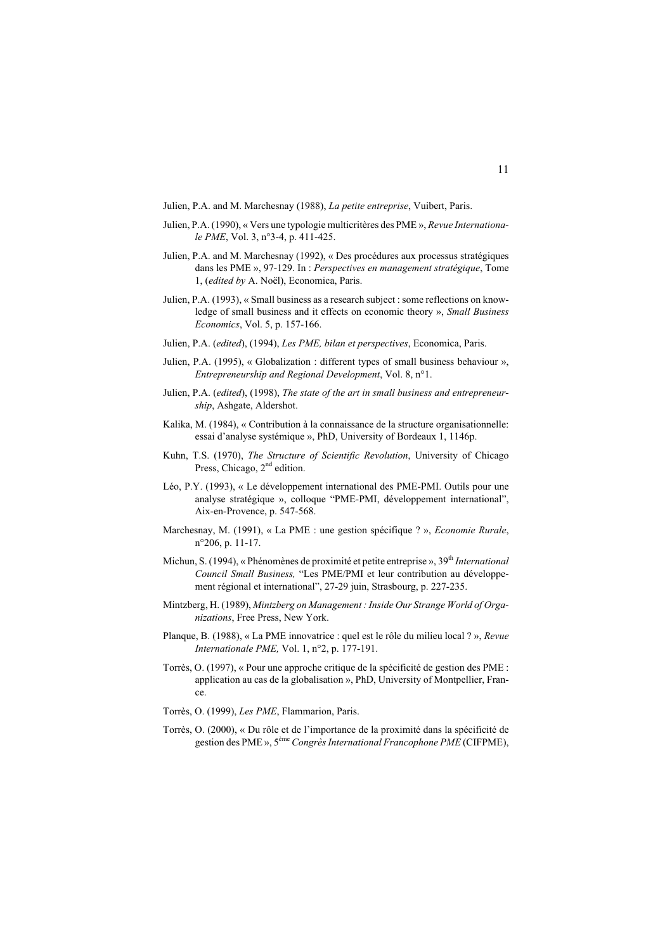Julien, P.A. and M. Marchesnay (1988), *La petite entreprise*, Vuibert, Paris.

- Julien, P.A. (1990), « Vers une typologie multicritères des PME », *Revue Internationale PME*, Vol. 3, n°3-4, p. 411-425.
- Julien, P.A. and M. Marchesnay (1992), « Des procédures aux processus stratégiques dans les PME », 97-129. In : *Perspectives en management stratégique*, Tome 1, (*edited by* A. Noël), Economica, Paris.
- Julien, P.A. (1993), « Small business as a research subject : some reflections on knowledge of small business and it effects on economic theory », *Small Business Economics*, Vol. 5, p. 157-166.
- Julien, P.A. (*edited*), (1994), *Les PME, bilan et perspectives*, Economica, Paris.
- Julien, P.A. (1995), « Globalization : different types of small business behaviour », *Entrepreneurship and Regional Development*, Vol. 8, n°1.
- Julien, P.A. (*edited*), (1998), *The state of the art in small business and entrepreneurship*, Ashgate, Aldershot.
- Kalika, M. (1984), « Contribution à la connaissance de la structure organisationnelle: essai d'analyse systémique », PhD, University of Bordeaux 1, 1146p.
- Kuhn, T.S. (1970), *The Structure of Scientific Revolution*, University of Chicago Press, Chicago, 2<sup>nd</sup> edition.
- Léo, P.Y. (1993), « Le développement international des PME-PMI. Outils pour une analyse stratégique », colloque "PME-PMI, développement international", Aix-en-Provence, p. 547-568.
- Marchesnay, M. (1991), « La PME : une gestion spécifique ? », *Economie Rurale*, n°206, p. 11-17.
- Michun, S. (1994), « Phénomènes de proximité et petite entreprise », 39<sup>th</sup> *International Council Small Business,* "Les PME/PMI et leur contribution au développement régional et international", 27-29 juin, Strasbourg, p. 227-235.
- Mintzberg, H. (1989), *Mintzberg on Management : Inside Our Strange World of Organizations*, Free Press, New York.
- Planque, B. (1988), « La PME innovatrice : quel est le rôle du milieu local ? », *Revue Internationale PME,* Vol. 1, n°2, p. 177-191.
- Torrès, O. (1997), « Pour une approche critique de la spécificité de gestion des PME : application au cas de la globalisation », PhD, University of Montpellier, France.
- Torrès, O. (1999), *Les PME*, Flammarion, Paris.
- Torrès, O. (2000), « Du rôle et de l'importance de la proximité dans la spécificité de gestion des PME », 5ème *Congrès International Francophone PME* (CIFPME),